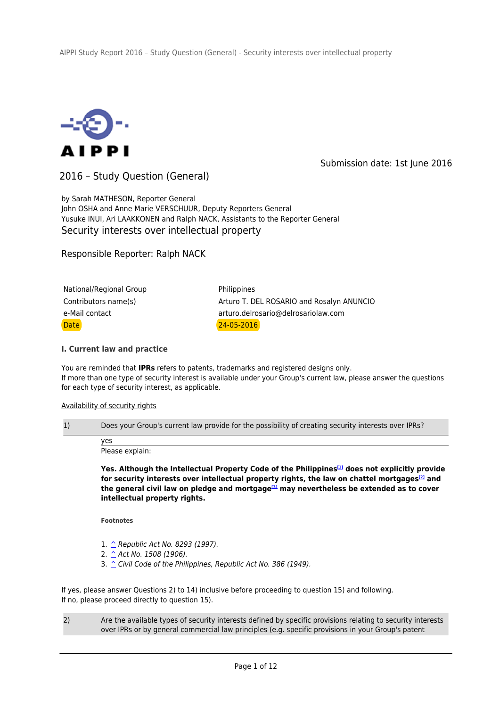

Submission date: 1st June 2016

2016 – Study Question (General)

by Sarah MATHESON, Reporter General John OSHA and Anne Marie VERSCHUUR, Deputy Reporters General Yusuke INUI, Ari LAAKKONEN and Ralph NACK, Assistants to the Reporter General Security interests over intellectual property

Responsible Reporter: Ralph NACK

| National/Regional Group | Philippines                               |
|-------------------------|-------------------------------------------|
| Contributors name(s)    | Arturo T. DEL ROSARIO and Rosalyn ANUNCIO |
| e-Mail contact          | arturo.delrosario@delrosariolaw.com       |
| <b>Date</b>             | $24 - 05 - 2016$                          |

# **I. Current law and practice**

You are reminded that **IPRs** refers to patents, trademarks and registered designs only. If more than one type of security interest is available under your Group's current law, please answer the questions for each type of security interest, as applicable.

### Availability of security rights

1) Does your Group's current law provide for the possibility of creating security interests over IPRs?

yes Please explain:

**Yes. Although the Intellectual Property Code of the Philippines[1] does not explicitly provide for security interests over intellectual property rights, the law on chattel mortgages[2] and the general civil law on pledge and mortgage[3] may nevertheless be extended as to cover intellectual property rights.**

**Footnotes**

- 1. ^ Republic Act No. 8293 (1997).
- 2.  $\triangle$  Act No. 1508 (1906).
- 3.  $\hat{C}$  Civil Code of the Philippines, Republic Act No. 386 (1949).

If yes, please answer Questions 2) to 14) inclusive before proceeding to question 15) and following. If no, please proceed directly to question 15).

2) Are the available types of security interests defined by specific provisions relating to security interests over IPRs or by general commercial law principles (e.g. specific provisions in your Group's patent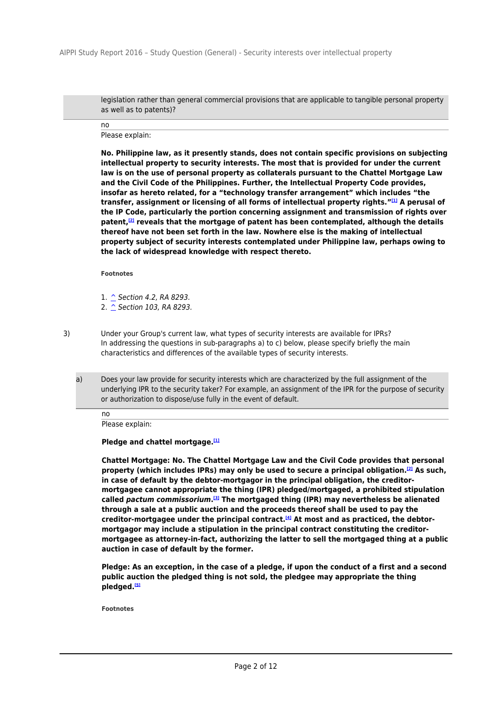legislation rather than general commercial provisions that are applicable to tangible personal property as well as to patents)?

no

Please explain:

**No. Philippine law, as it presently stands, does not contain specific provisions on subjecting intellectual property to security interests. The most that is provided for under the current law is on the use of personal property as collaterals pursuant to the Chattel Mortgage Law and the Civil Code of the Philippines. Further, the Intellectual Property Code provides, insofar as hereto related, for a "technology transfer arrangement" which includes "the transfer, assignment or licensing of all forms of intellectual property rights."[1] A perusal of the IP Code, particularly the portion concerning assignment and transmission of rights over patent,[2] reveals that the mortgage of patent has been contemplated, although the details thereof have not been set forth in the law. Nowhere else is the making of intellectual property subject of security interests contemplated under Philippine law, perhaps owing to the lack of widespread knowledge with respect thereto.**

**Footnotes**

1. ^ Section 4.2, RA 8293.

2.  $\hat{\ }$  Section 103, RA 8293.

3) Under your Group's current law, what types of security interests are available for IPRs? In addressing the questions in sub-paragraphs a) to c) below, please specify briefly the main characteristics and differences of the available types of security interests.

a) Does your law provide for security interests which are characterized by the full assignment of the underlying IPR to the security taker? For example, an assignment of the IPR for the purpose of security or authorization to dispose/use fully in the event of default.

no Please explain:

# **Pledge and chattel mortgage.[1]**

**Chattel Mortgage: No. The Chattel Mortgage Law and the Civil Code provides that personal property (which includes IPRs) may only be used to secure a principal obligation.[2] As such, in case of default by the debtor-mortgagor in the principal obligation, the creditormortgagee cannot appropriate the thing (IPR) pledged/mortgaged, a prohibited stipulation called** *pactum commissorium***. [3] The mortgaged thing (IPR) may nevertheless be alienated through a sale at a public auction and the proceeds thereof shall be used to pay the creditor-mortgagee under the principal contract.[4] At most and as practiced, the debtormortgagor may include a stipulation in the principal contract constituting the creditormortgagee as attorney-in-fact, authorizing the latter to sell the mortgaged thing at a public auction in case of default by the former.**

**Pledge: As an exception, in the case of a pledge, if upon the conduct of a first and a second public auction the pledged thing is not sold, the pledgee may appropriate the thing pledged.[5]**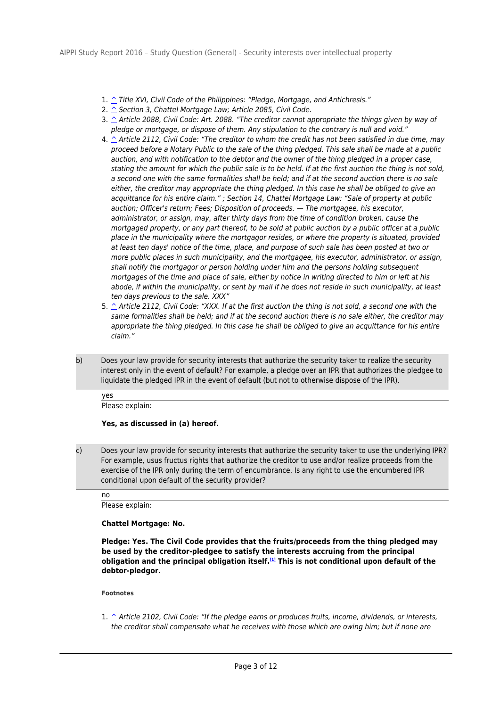- 1. ^ Title XVI, Civil Code of the Philippines: "Pledge, Mortgage, and Antichresis."
- 2.  $\hat{\ }$  Section 3, Chattel Mortgage Law; Article 2085, Civil Code.
- 3.  $\hat{\ }$  Article 2088, Civil Code: Art. 2088. "The creditor cannot appropriate the things given by way of pledge or mortgage, or dispose of them. Any stipulation to the contrary is null and void."
- 4.  $\hat{\ }$  Article 2112, Civil Code: "The creditor to whom the credit has not been satisfied in due time, may proceed before a Notary Public to the sale of the thing pledged. This sale shall be made at a public auction, and with notification to the debtor and the owner of the thing pledged in a proper case, stating the amount for which the public sale is to be held. If at the first auction the thing is not sold, a second one with the same formalities shall be held; and if at the second auction there is no sale either, the creditor may appropriate the thing pledged. In this case he shall be obliged to give an acquittance for his entire claim." ; Section 14, Chattel Mortgage Law: "Sale of property at public auction; Officer's return; Fees; Disposition of proceeds. — The mortgagee, his executor, administrator, or assign, may, after thirty days from the time of condition broken, cause the mortgaged property, or any part thereof, to be sold at public auction by a public officer at a public place in the municipality where the mortgagor resides, or where the property is situated, provided at least ten days' notice of the time, place, and purpose of such sale has been posted at two or more public places in such municipality, and the mortgagee, his executor, administrator, or assign, shall notify the mortgagor or person holding under him and the persons holding subsequent mortgages of the time and place of sale, either by notice in writing directed to him or left at his abode, if within the municipality, or sent by mail if he does not reside in such municipality, at least ten days previous to the sale. XXX"
- 5. ^ Article 2112, Civil Code: "XXX. If at the first auction the thing is not sold, a second one with the same formalities shall be held; and if at the second auction there is no sale either, the creditor may appropriate the thing pledged. In this case he shall be obliged to give an acquittance for his entire claim."
- b) Does your law provide for security interests that authorize the security taker to realize the security interest only in the event of default? For example, a pledge over an IPR that authorizes the pledgee to liquidate the pledged IPR in the event of default (but not to otherwise dispose of the IPR).

yes Please explain:

## **Yes, as discussed in (a) hereof.**

c) Does your law provide for security interests that authorize the security taker to use the underlying IPR? For example, usus fructus rights that authorize the creditor to use and/or realize proceeds from the exercise of the IPR only during the term of encumbrance. Is any right to use the encumbered IPR conditional upon default of the security provider?

#### no

Please explain:

## **Chattel Mortgage: No.**

**Pledge: Yes. The Civil Code provides that the fruits/proceeds from the thing pledged may be used by the creditor-pledgee to satisfy the interests accruing from the principal obligation and the principal obligation itself.[1] This is not conditional upon default of the debtor-pledgor.**

**Footnotes**

1.  $\hat{\ }$  Article 2102, Civil Code: "If the pledge earns or produces fruits, income, dividends, or interests, the creditor shall compensate what he receives with those which are owing him; but if none are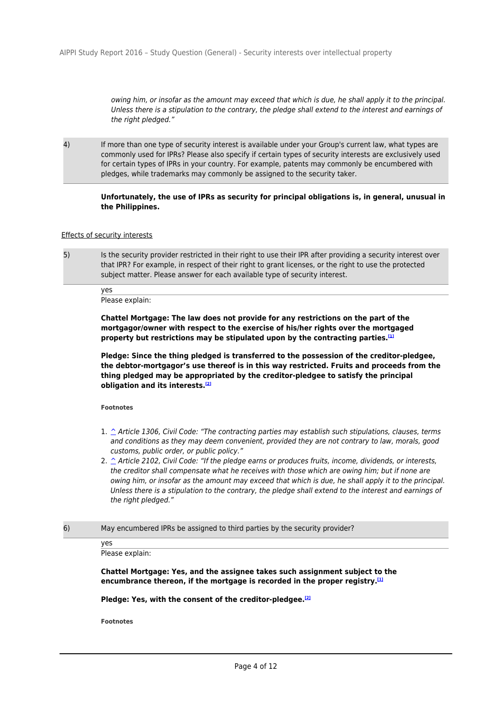owing him, or insofar as the amount may exceed that which is due, he shall apply it to the principal. Unless there is a stipulation to the contrary, the pledge shall extend to the interest and earnings of the right pledged."

4) If more than one type of security interest is available under your Group's current law, what types are commonly used for IPRs? Please also specify if certain types of security interests are exclusively used for certain types of IPRs in your country. For example, patents may commonly be encumbered with pledges, while trademarks may commonly be assigned to the security taker.

## **Unfortunately, the use of IPRs as security for principal obligations is, in general, unusual in the Philippines.**

#### Effects of security interests

5) Is the security provider restricted in their right to use their IPR after providing a security interest over that IPR? For example, in respect of their right to grant licenses, or the right to use the protected subject matter. Please answer for each available type of security interest.

yes Please explain:

**Chattel Mortgage: The law does not provide for any restrictions on the part of the mortgagor/owner with respect to the exercise of his/her rights over the mortgaged property but restrictions may be stipulated upon by the contracting parties.[1]**

**Pledge: Since the thing pledged is transferred to the possession of the creditor-pledgee, the debtor-mortgagor's use thereof is in this way restricted. Fruits and proceeds from the thing pledged may be appropriated by the creditor-pledgee to satisfy the principal obligation and its interests.[2]**

**Footnotes**

- 1.  $\hat{\ }$  Article 1306, Civil Code: "The contracting parties may establish such stipulations, clauses, terms and conditions as they may deem convenient, provided they are not contrary to law, morals, good customs, public order, or public policy."
- 2.  $\hat{ }$  Article 2102, Civil Code: "If the pledge earns or produces fruits, income, dividends, or interests, the creditor shall compensate what he receives with those which are owing him; but if none are owing him, or insofar as the amount may exceed that which is due, he shall apply it to the principal. Unless there is a stipulation to the contrary, the pledge shall extend to the interest and earnings of the right pledged."
- 6) May encumbered IPRs be assigned to third parties by the security provider?

yes Please explain:

**Chattel Mortgage: Yes, and the assignee takes such assignment subject to the encumbrance thereon, if the mortgage is recorded in the proper registry.[1]**

**Pledge: Yes, with the consent of the creditor-pledgee.[2]**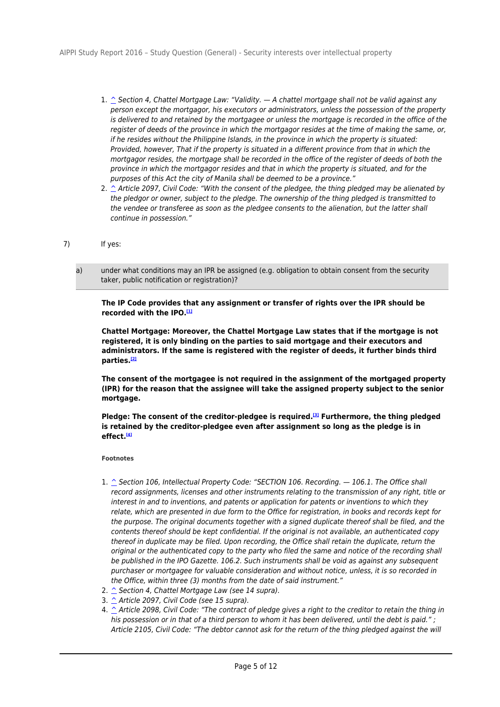- 1.  $\hat{\ }$  Section 4, Chattel Mortgage Law: "Validity.  $-$  A chattel mortgage shall not be valid against any person except the mortgagor, his executors or administrators, unless the possession of the property is delivered to and retained by the mortgagee or unless the mortgage is recorded in the office of the register of deeds of the province in which the mortgagor resides at the time of making the same, or, if he resides without the Philippine Islands, in the province in which the property is situated: Provided, however, That if the property is situated in a different province from that in which the mortgagor resides, the mortgage shall be recorded in the office of the register of deeds of both the province in which the mortgagor resides and that in which the property is situated, and for the purposes of this Act the city of Manila shall be deemed to be a province."
- 2.  $\hat{\ }$  Article 2097, Civil Code: "With the consent of the pledgee, the thing pledged may be alienated by the pledgor or owner, subject to the pledge. The ownership of the thing pledged is transmitted to the vendee or transferee as soon as the pledgee consents to the alienation, but the latter shall continue in possession."
- 7) If yes:
	- a) under what conditions may an IPR be assigned (e.g. obligation to obtain consent from the security taker, public notification or registration)?

**The IP Code provides that any assignment or transfer of rights over the IPR should be recorded with the IPO.[1]**

**Chattel Mortgage: Moreover, the Chattel Mortgage Law states that if the mortgage is not registered, it is only binding on the parties to said mortgage and their executors and administrators. If the same is registered with the register of deeds, it further binds third parties.[2]**

**The consent of the mortgagee is not required in the assignment of the mortgaged property (IPR) for the reason that the assignee will take the assigned property subject to the senior mortgage.**

**Pledge: The consent of the creditor-pledgee is required.[3] Furthermore, the thing pledged is retained by the creditor-pledgee even after assignment so long as the pledge is in effect.[4]**

- 1.  $\hat{\triangle}$  Section 106, Intellectual Property Code: "SECTION 106. Recording.  $-$  106.1. The Office shall record assignments, licenses and other instruments relating to the transmission of any right, title or interest in and to inventions, and patents or application for patents or inventions to which they relate, which are presented in due form to the Office for registration, in books and records kept for the purpose. The original documents together with a signed duplicate thereof shall be filed, and the contents thereof should be kept confidential. If the original is not available, an authenticated copy thereof in duplicate may be filed. Upon recording, the Office shall retain the duplicate, return the original or the authenticated copy to the party who filed the same and notice of the recording shall be published in the IPO Gazette. 106.2. Such instruments shall be void as against any subsequent purchaser or mortgagee for valuable consideration and without notice, unless, it is so recorded in the Office, within three (3) months from the date of said instrument."
- 2.  $\hat{\ }$  Section 4, Chattel Mortgage Law (see 14 supra).
- 3.  $\hat{\ }$  Article 2097, Civil Code (see 15 supra).
- 4.  $\hat{\ }$  Article 2098, Civil Code: "The contract of pledge gives a right to the creditor to retain the thing in his possession or in that of a third person to whom it has been delivered, until the debt is paid." ; Article 2105, Civil Code: "The debtor cannot ask for the return of the thing pledged against the will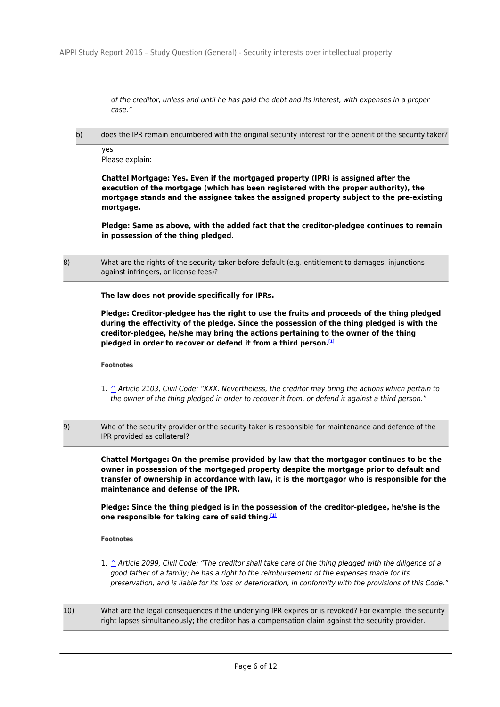of the creditor, unless and until he has paid the debt and its interest, with expenses in a proper case."

b) does the IPR remain encumbered with the original security interest for the benefit of the security taker?

yes Please explain:

**Chattel Mortgage: Yes. Even if the mortgaged property (IPR) is assigned after the execution of the mortgage (which has been registered with the proper authority), the mortgage stands and the assignee takes the assigned property subject to the pre-existing mortgage.**

**Pledge: Same as above, with the added fact that the creditor-pledgee continues to remain in possession of the thing pledged.**

8) What are the rights of the security taker before default (e.g. entitlement to damages, injunctions against infringers, or license fees)?

**The law does not provide specifically for IPRs.**

**Pledge: Creditor-pledgee has the right to use the fruits and proceeds of the thing pledged during the effectivity of the pledge. Since the possession of the thing pledged is with the creditor-pledgee, he/she may bring the actions pertaining to the owner of the thing pledged in order to recover or defend it from a third person.[1]**

**Footnotes**

- 1. ^ Article 2103, Civil Code: "XXX. Nevertheless, the creditor may bring the actions which pertain to the owner of the thing pledged in order to recover it from, or defend it against a third person."
- 9) Who of the security provider or the security taker is responsible for maintenance and defence of the IPR provided as collateral?

**Chattel Mortgage: On the premise provided by law that the mortgagor continues to be the owner in possession of the mortgaged property despite the mortgage prior to default and transfer of ownership in accordance with law, it is the mortgagor who is responsible for the maintenance and defense of the IPR.**

**Pledge: Since the thing pledged is in the possession of the creditor-pledgee, he/she is the one responsible for taking care of said thing.[1]**

- 1.  $\hat{ }$  Article 2099, Civil Code: "The creditor shall take care of the thing pledged with the diligence of a good father of a family; he has a right to the reimbursement of the expenses made for its preservation, and is liable for its loss or deterioration, in conformity with the provisions of this Code."
- 10) What are the legal consequences if the underlying IPR expires or is revoked? For example, the security right lapses simultaneously; the creditor has a compensation claim against the security provider.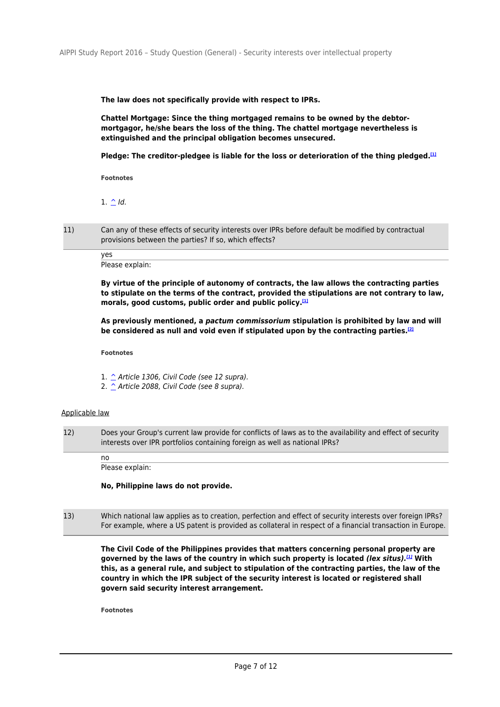**The law does not specifically provide with respect to IPRs.**

**Chattel Mortgage: Since the thing mortgaged remains to be owned by the debtormortgagor, he/she bears the loss of the thing. The chattel mortgage nevertheless is extinguished and the principal obligation becomes unsecured.**

**Pledge: The creditor-pledgee is liable for the loss or deterioration of the thing pledged.[1]**

**Footnotes**

1.  $\triangle$  Id.

11) Can any of these effects of security interests over IPRs before default be modified by contractual provisions between the parties? If so, which effects?

> yes Please explain:

**By virtue of the principle of autonomy of contracts, the law allows the contracting parties to stipulate on the terms of the contract, provided the stipulations are not contrary to law, morals, good customs, public order and public policy.[1]**

**As previously mentioned, a** *pactum commissorium* **stipulation is prohibited by law and will be considered as null and void even if stipulated upon by the contracting parties.[2]**

**Footnotes**

1.  $\hat{\ }$  Article 1306, Civil Code (see 12 supra).

2. ^ Article 2088, Civil Code (see 8 supra).

### Applicable law

12) Does your Group's current law provide for conflicts of laws as to the availability and effect of security interests over IPR portfolios containing foreign as well as national IPRs?

Please explain:

no

**No, Philippine laws do not provide.**

13) Which national law applies as to creation, perfection and effect of security interests over foreign IPRs? For example, where a US patent is provided as collateral in respect of a financial transaction in Europe.

**The Civil Code of the Philippines provides that matters concerning personal property are governed by the laws of the country in which such property is located** *(lex situs).[1]* **With this, as a general rule, and subject to stipulation of the contracting parties, the law of the country in which the IPR subject of the security interest is located or registered shall govern said security interest arrangement.**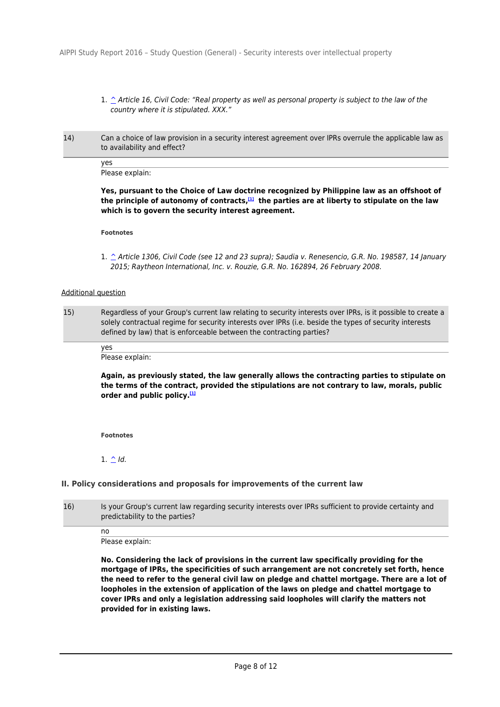- 1. ^ Article 16, Civil Code: "Real property as well as personal property is subject to the law of the country where it is stipulated. XXX."
- 14) Can a choice of law provision in a security interest agreement over IPRs overrule the applicable law as to availability and effect?

yes Please explain:

**Yes, pursuant to the Choice of Law doctrine recognized by Philippine law as an offshoot of the principle of autonomy of contracts,[1] the parties are at liberty to stipulate on the law which is to govern the security interest agreement.**

**Footnotes**

1. ^ Article 1306, Civil Code (see 12 and 23 supra); Saudia v. Renesencio, G.R. No. 198587, 14 January 2015; Raytheon International, Inc. v. Rouzie, G.R. No. 162894, 26 February 2008.

#### Additional question

15) Regardless of your Group's current law relating to security interests over IPRs, is it possible to create a solely contractual regime for security interests over IPRs (i.e. beside the types of security interests defined by law) that is enforceable between the contracting parties?

yes Please explain:

**Again, as previously stated, the law generally allows the contracting parties to stipulate on the terms of the contract, provided the stipulations are not contrary to law, morals, public order and public policy.[1]**

**Footnotes**

 $1.$  ^ Id.

no

## **II. Policy considerations and proposals for improvements of the current law**

16) Is your Group's current law regarding security interests over IPRs sufficient to provide certainty and predictability to the parties?

Please explain:

**No. Considering the lack of provisions in the current law specifically providing for the mortgage of IPRs, the specificities of such arrangement are not concretely set forth, hence the need to refer to the general civil law on pledge and chattel mortgage. There are a lot of loopholes in the extension of application of the laws on pledge and chattel mortgage to cover IPRs and only a legislation addressing said loopholes will clarify the matters not provided for in existing laws.**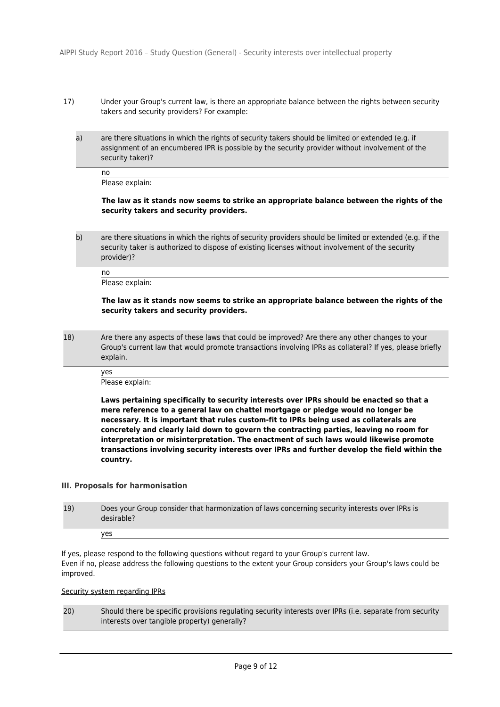- 17) Under your Group's current law, is there an appropriate balance between the rights between security takers and security providers? For example:
	- a) are there situations in which the rights of security takers should be limited or extended (e.g. if assignment of an encumbered IPR is possible by the security provider without involvement of the security taker)?

no

Please explain:

### **The law as it stands now seems to strike an appropriate balance between the rights of the security takers and security providers.**

b) are there situations in which the rights of security providers should be limited or extended (e.g. if the security taker is authorized to dispose of existing licenses without involvement of the security provider)?

no Please explain:

#### **The law as it stands now seems to strike an appropriate balance between the rights of the security takers and security providers.**

18) Are there any aspects of these laws that could be improved? Are there any other changes to your Group's current law that would promote transactions involving IPRs as collateral? If yes, please briefly explain.

yes

Please explain:

**Laws pertaining specifically to security interests over IPRs should be enacted so that a mere reference to a general law on chattel mortgage or pledge would no longer be necessary. It is important that rules custom-fit to IPRs being used as collaterals are concretely and clearly laid down to govern the contracting parties, leaving no room for interpretation or misinterpretation. The enactment of such laws would likewise promote transactions involving security interests over IPRs and further develop the field within the country.**

## **III. Proposals for harmonisation**

| 19) | Does your Group consider that harmonization of laws concerning security interests over IPRs is<br>desirable? |
|-----|--------------------------------------------------------------------------------------------------------------|
|     | ves                                                                                                          |

If yes, please respond to the following questions without regard to your Group's current law. Even if no, please address the following questions to the extent your Group considers your Group's laws could be improved.

# Security system regarding IPRs

20) Should there be specific provisions regulating security interests over IPRs (i.e. separate from security interests over tangible property) generally?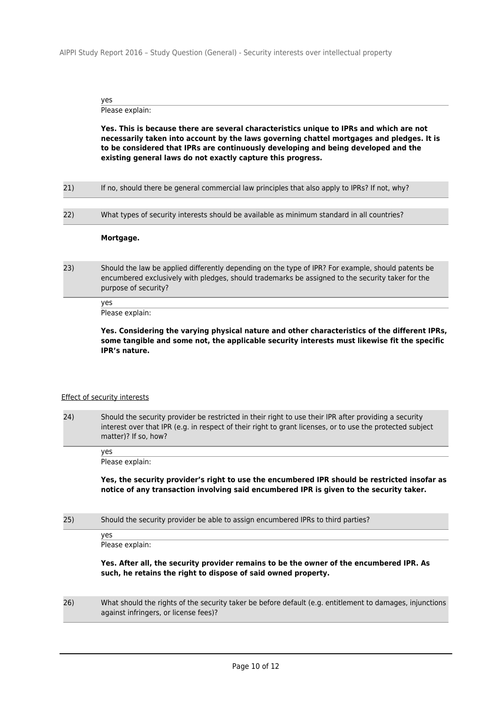AIPPI Study Report 2016 – Study Question (General) - Security interests over intellectual property

yes

Please explain:

**Yes. This is because there are several characteristics unique to IPRs and which are not necessarily taken into account by the laws governing chattel mortgages and pledges. It is to be considered that IPRs are continuously developing and being developed and the existing general laws do not exactly capture this progress.**

| 21)<br>If no, should there be general commercial law principles that also apply to IPRs? If not, why? |  |
|-------------------------------------------------------------------------------------------------------|--|
|-------------------------------------------------------------------------------------------------------|--|

22) What types of security interests should be available as minimum standard in all countries?

#### **Mortgage.**

23) Should the law be applied differently depending on the type of IPR? For example, should patents be encumbered exclusively with pledges, should trademarks be assigned to the security taker for the purpose of security?

> yes Please explain:

**Yes. Considering the varying physical nature and other characteristics of the different IPRs, some tangible and some not, the applicable security interests must likewise fit the specific IPR's nature.**

## Effect of security interests

24) Should the security provider be restricted in their right to use their IPR after providing a security interest over that IPR (e.g. in respect of their right to grant licenses, or to use the protected subject matter)? If so, how?

yes Please explain:

**Yes, the security provider's right to use the encumbered IPR should be restricted insofar as notice of any transaction involving said encumbered IPR is given to the security taker.**

25) Should the security provider be able to assign encumbered IPRs to third parties?

yes

Please explain:

**Yes. After all, the security provider remains to be the owner of the encumbered IPR. As such, he retains the right to dispose of said owned property.**

26) What should the rights of the security taker be before default (e.g. entitlement to damages, injunctions against infringers, or license fees)?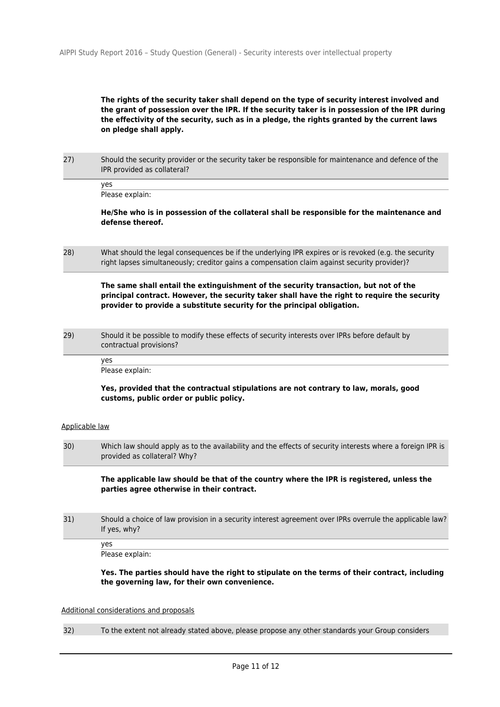# **The rights of the security taker shall depend on the type of security interest involved and the grant of possession over the IPR. If the security taker is in possession of the IPR during the effectivity of the security, such as in a pledge, the rights granted by the current laws on pledge shall apply.**

27) Should the security provider or the security taker be responsible for maintenance and defence of the IPR provided as collateral?

yes Please explain:

**He/She who is in possession of the collateral shall be responsible for the maintenance and defense thereof.**

28) What should the legal consequences be if the underlying IPR expires or is revoked (e.g. the security right lapses simultaneously; creditor gains a compensation claim against security provider)?

**The same shall entail the extinguishment of the security transaction, but not of the principal contract. However, the security taker shall have the right to require the security provider to provide a substitute security for the principal obligation.**

29) Should it be possible to modify these effects of security interests over IPRs before default by contractual provisions?

yes

Please explain:

### **Yes, provided that the contractual stipulations are not contrary to law, morals, good customs, public order or public policy.**

### Applicable law

30) Which law should apply as to the availability and the effects of security interests where a foreign IPR is provided as collateral? Why?

**The applicable law should be that of the country where the IPR is registered, unless the parties agree otherwise in their contract.**

31) Should a choice of law provision in a security interest agreement over IPRs overrule the applicable law? If yes, why?

Please explain:

yes

**Yes. The parties should have the right to stipulate on the terms of their contract, including the governing law, for their own convenience.**

### Additional considerations and proposals

32) To the extent not already stated above, please propose any other standards your Group considers